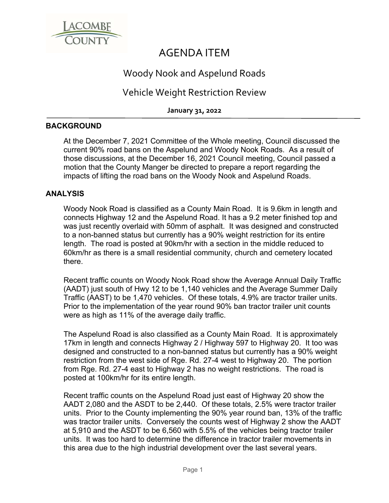

# AGENDA ITEM

## Woody Nook and Aspelund Roads

### Vehicle Weight Restriction Review

**January 31, 2022**

#### **BACKGROUND**

At the December 7, 2021 Committee of the Whole meeting, Council discussed the current 90% road bans on the Aspelund and Woody Nook Roads. As a result of those discussions, at the December 16, 2021 Council meeting, Council passed a motion that the County Manger be directed to prepare a report regarding the impacts of lifting the road bans on the Woody Nook and Aspelund Roads.

### **ANALYSIS**

Woody Nook Road is classified as a County Main Road. It is 9.6km in length and connects Highway 12 and the Aspelund Road. It has a 9.2 meter finished top and was just recently overlaid with 50mm of asphalt. It was designed and constructed to a non-banned status but currently has a 90% weight restriction for its entire length. The road is posted at 90km/hr with a section in the middle reduced to 60km/hr as there is a small residential community, church and cemetery located there.

Recent traffic counts on Woody Nook Road show the Average Annual Daily Traffic (AADT) just south of Hwy 12 to be 1,140 vehicles and the Average Summer Daily Traffic (AAST) to be 1,470 vehicles. Of these totals, 4.9% are tractor trailer units. Prior to the implementation of the year round 90% ban tractor trailer unit counts were as high as 11% of the average daily traffic.

The Aspelund Road is also classified as a County Main Road. It is approximately 17km in length and connects Highway 2 / Highway 597 to Highway 20. It too was designed and constructed to a non-banned status but currently has a 90% weight restriction from the west side of Rge. Rd. 27-4 west to Highway 20. The portion from Rge. Rd. 27-4 east to Highway 2 has no weight restrictions. The road is posted at 100km/hr for its entire length.

Recent traffic counts on the Aspelund Road just east of Highway 20 show the AADT 2,080 and the ASDT to be 2,440. Of these totals, 2.5% were tractor trailer units. Prior to the County implementing the 90% year round ban, 13% of the traffic was tractor trailer units. Conversely the counts west of Highway 2 show the AADT at 5,910 and the ASDT to be 6,560 with 5.5% of the vehicles being tractor trailer units. It was too hard to determine the difference in tractor trailer movements in this area due to the high industrial development over the last several years.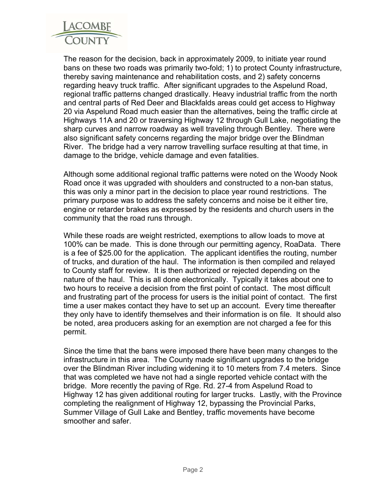

The reason for the decision, back in approximately 2009, to initiate year round bans on these two roads was primarily two-fold; 1) to protect County infrastructure, thereby saving maintenance and rehabilitation costs, and 2) safety concerns regarding heavy truck traffic. After significant upgrades to the Aspelund Road, regional traffic patterns changed drastically. Heavy industrial traffic from the north and central parts of Red Deer and Blackfalds areas could get access to Highway 20 via Aspelund Road much easier than the alternatives, being the traffic circle at Highways 11A and 20 or traversing Highway 12 through Gull Lake, negotiating the sharp curves and narrow roadway as well traveling through Bentley. There were also significant safety concerns regarding the major bridge over the Blindman River. The bridge had a very narrow travelling surface resulting at that time, in damage to the bridge, vehicle damage and even fatalities.

Although some additional regional traffic patterns were noted on the Woody Nook Road once it was upgraded with shoulders and constructed to a non-ban status, this was only a minor part in the decision to place year round restrictions. The primary purpose was to address the safety concerns and noise be it either tire, engine or retarder brakes as expressed by the residents and church users in the community that the road runs through.

While these roads are weight restricted, exemptions to allow loads to move at 100% can be made. This is done through our permitting agency, RoaData. There is a fee of \$25.00 for the application. The applicant identifies the routing, number of trucks, and duration of the haul. The information is then compiled and relayed to County staff for review. It is then authorized or rejected depending on the nature of the haul. This is all done electronically. Typically it takes about one to two hours to receive a decision from the first point of contact. The most difficult and frustrating part of the process for users is the initial point of contact. The first time a user makes contact they have to set up an account. Every time thereafter they only have to identify themselves and their information is on file. It should also be noted, area producers asking for an exemption are not charged a fee for this permit.

Since the time that the bans were imposed there have been many changes to the infrastructure in this area. The County made significant upgrades to the bridge over the Blindman River including widening it to 10 meters from 7.4 meters. Since that was completed we have not had a single reported vehicle contact with the bridge. More recently the paving of Rge. Rd. 27-4 from Aspelund Road to Highway 12 has given additional routing for larger trucks. Lastly, with the Province completing the realignment of Highway 12, bypassing the Provincial Parks, Summer Village of Gull Lake and Bentley, traffic movements have become smoother and safer.